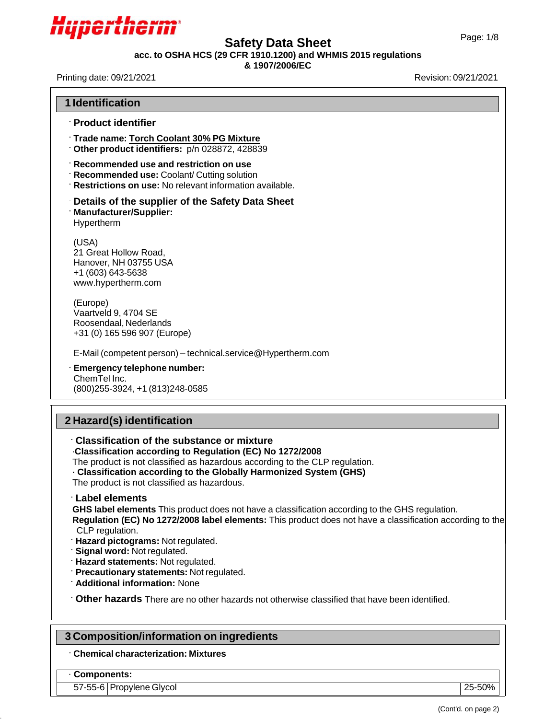

# Page: 1/8 **Safety Data Sheet**

**acc. to OSHA HCS (29 CFR 1910.1200) and WHMIS 2015 regulations**

### **& 1907/2006/EC**

Printing date: 09/21/2021 **Revision: 09/21/2021** 

| <b>1 Identification</b>                                                                                                                                                                                                                                                                                                                                                                                                                              |
|------------------------------------------------------------------------------------------------------------------------------------------------------------------------------------------------------------------------------------------------------------------------------------------------------------------------------------------------------------------------------------------------------------------------------------------------------|
| <b>Product identifier</b>                                                                                                                                                                                                                                                                                                                                                                                                                            |
| Trade name: Torch Coolant 30% PG Mixture<br>Other product identifiers: p/n 028872, 428839                                                                                                                                                                                                                                                                                                                                                            |
| Recommended use and restriction on use<br>Recommended use: Coolant/ Cutting solution<br><b>Restrictions on use:</b> No relevant information available.                                                                                                                                                                                                                                                                                               |
| Details of the supplier of the Safety Data Sheet<br><b>Manufacturer/Supplier:</b><br>Hypertherm                                                                                                                                                                                                                                                                                                                                                      |
| (USA)<br>21 Great Hollow Road,<br>Hanover, NH 03755 USA<br>+1 (603) 643-5638<br>www.hypertherm.com                                                                                                                                                                                                                                                                                                                                                   |
| (Europe)<br>Vaartveld 9, 4704 SE<br>Roosendaal, Nederlands<br>+31 (0) 165 596 907 (Europe)                                                                                                                                                                                                                                                                                                                                                           |
| E-Mail (competent person) - technical.service@Hypertherm.com                                                                                                                                                                                                                                                                                                                                                                                         |
| Emergency telephone number:<br>ChemTel Inc.<br>(800) 255-3924, +1 (813) 248-0585                                                                                                                                                                                                                                                                                                                                                                     |
| 2 Hazard(s) identification                                                                                                                                                                                                                                                                                                                                                                                                                           |
| Classification of the substance or mixture<br>Classification according to Regulation (EC) No 1272/2008<br>The product is not classified as hazardous according to the CLP regulation.<br>· Classification according to the Globally Harmonized System (GHS)<br>The product is not classified as hazardous.                                                                                                                                           |
| <b>Label elements</b><br>GHS label elements This product does not have a classification according to the GHS regulation.<br>Regulation (EC) No 1272/2008 label elements: This product does not have a classification according to the<br>CLP regulation.<br>Hazard pictograms: Not regulated.<br>Signal word: Not regulated.<br>Hazard statements: Not regulated.<br>Precautionary statements: Not regulated.<br><b>Additional information: None</b> |
| Other hazards There are no other hazards not otherwise classified that have been identified.                                                                                                                                                                                                                                                                                                                                                         |
| 3 Composition/information on ingredients                                                                                                                                                                                                                                                                                                                                                                                                             |
| <b>Chemical characterization: Mixtures</b>                                                                                                                                                                                                                                                                                                                                                                                                           |

57-55-6 Propylene Glycol 25-50%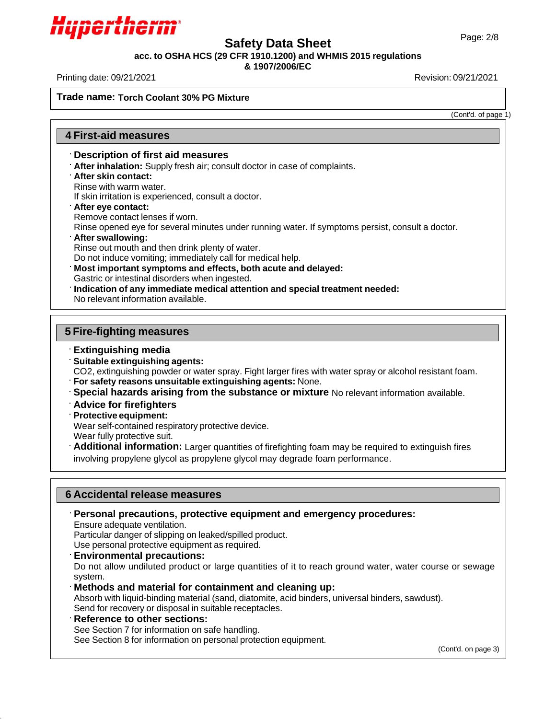

# Page: 2/8 **Safety Data Sheet**

**acc. to OSHA HCS (29 CFR 1910.1200) and WHMIS 2015 regulations**

## **& 1907/2006/EC**

Printing date: 09/21/2021 Revision: 09/21/2021

**Trade name: Torch Coolant 30% PG Mixture**

(Cont'd. of page 1)

## **4 First-aid measures**

### **Description of first aid measures**

- **After inhalation:** Supply fresh air; consult doctor in case of complaints.
- **After skin contact:**

Rinse with warm water.

If skin irritation is experienced, consult a doctor.

**After eye contact:**

Remove contact lenses if worn.

Rinse opened eye for several minutes under running water. If symptoms persist, consult a doctor.

**After swallowing:**

Rinse out mouth and then drink plenty of water.

Do not induce vomiting; immediately call for medical help.

**Most important symptoms and effects, both acute and delayed:**

Gastric or intestinal disorders when ingested.

**Indication of any immediate medical attention and special treatment needed:**

No relevant information available.

## **5 Fire-fighting measures**

### **Extinguishing media**

**Suitable extinguishing agents:**

CO2, extinguishing powder or water spray. Fight larger fires with water spray or alcohol resistant foam.

**For safety reasons unsuitable extinguishing agents:** None.

**Special hazards arising from the substance or mixture** No relevant information available.

- **Advice for firefighters**
- **Protective equipment:**

Wear self-contained respiratory protective device.

Wear fully protective suit.

**Additional information:** Larger quantities of firefighting foam may be required to extinguish fires involving propylene glycol as propylene glycol may degrade foam performance.

## **6 Accidental release measures**

**Personal precautions, protective equipment and emergency procedures:**

Ensure adequate ventilation.

Particular danger of slipping on leaked/spilled product.

Use personal protective equipment as required.

**Environmental precautions:**

Do not allow undiluted product or large quantities of it to reach ground water, water course or sewage system.

**Methods and material for containment and cleaning up:**

Absorb with liquid-binding material (sand, diatomite, acid binders, universal binders, sawdust). Send for recovery or disposal in suitable receptacles.

**Reference to other sections:**

See Section 7 for information on safe handling.

See Section 8 for information on personal protection equipment.

(Cont'd. on page 3)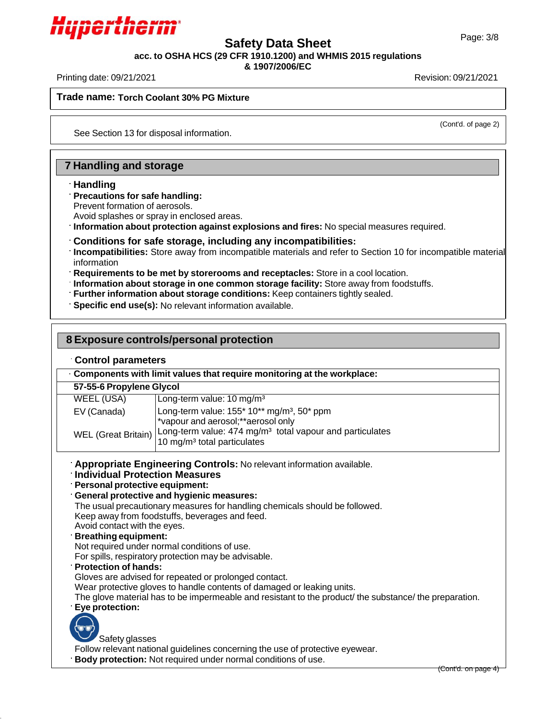

# Page: 3/8 **Safety Data Sheet**

**acc. to OSHA HCS (29 CFR 1910.1200) and WHMIS 2015 regulations**

**& 1907/2006/EC**

Printing date: 09/21/2021 Revision: 09/21/2021

**Trade name: Torch Coolant 30% PG Mixture**

(Cont'd. of page 2)

See Section 13 for disposal information.

## **7 Handling and storage**

### **Handling**

#### **Precautions for safe handling:**

Prevent formation of aerosols.

Avoid splashes or spray in enclosed areas.

**Information about protection against explosions and fires:** No special measures required.

### **Conditions for safe storage, including any incompatibilities:**

**Incompatibilities:** Store away from incompatible materials and refer to Section 10 for incompatible material information

**Requirements to be met by storerooms and receptacles:** Store in a cool location.

**Information about storage in one common storage facility:** Store away from foodstuffs.

**Further information about storage conditions:** Keep containers tightly sealed.

**Specific end use(s):** No relevant information available.

| 8 Exposure controls/personal protection                                                                                                                                                                    |                                                                                                                                                                                                                                                                                                                                                                                                                                                                                                                                                                                                                                                                                                                                                           |                     |  |  |
|------------------------------------------------------------------------------------------------------------------------------------------------------------------------------------------------------------|-----------------------------------------------------------------------------------------------------------------------------------------------------------------------------------------------------------------------------------------------------------------------------------------------------------------------------------------------------------------------------------------------------------------------------------------------------------------------------------------------------------------------------------------------------------------------------------------------------------------------------------------------------------------------------------------------------------------------------------------------------------|---------------------|--|--|
| <b>Control parameters</b>                                                                                                                                                                                  |                                                                                                                                                                                                                                                                                                                                                                                                                                                                                                                                                                                                                                                                                                                                                           |                     |  |  |
| Components with limit values that require monitoring at the workplace:                                                                                                                                     |                                                                                                                                                                                                                                                                                                                                                                                                                                                                                                                                                                                                                                                                                                                                                           |                     |  |  |
| 57-55-6 Propylene Glycol                                                                                                                                                                                   |                                                                                                                                                                                                                                                                                                                                                                                                                                                                                                                                                                                                                                                                                                                                                           |                     |  |  |
| <b>WEEL (USA)</b>                                                                                                                                                                                          | Long-term value: 10 mg/m <sup>3</sup>                                                                                                                                                                                                                                                                                                                                                                                                                                                                                                                                                                                                                                                                                                                     |                     |  |  |
| EV (Canada)                                                                                                                                                                                                | Long-term value: 155* 10** mg/m <sup>3</sup> , 50* ppm<br>*vapour and aerosol;**aerosol only                                                                                                                                                                                                                                                                                                                                                                                                                                                                                                                                                                                                                                                              |                     |  |  |
| <b>WEL</b> (Great Britain)                                                                                                                                                                                 | Long-term value: 474 mg/m <sup>3</sup> total vapour and particulates<br>10 mg/m <sup>3</sup> total particulates                                                                                                                                                                                                                                                                                                                                                                                                                                                                                                                                                                                                                                           |                     |  |  |
| <b>Individual Protection Measures</b><br>Personal protective equipment:<br>Avoid contact with the eyes.<br><b>Breathing equipment:</b><br><b>Protection of hands:</b><br>Eye protection:<br>Safety glasses | Appropriate Engineering Controls: No relevant information available.<br>General protective and hygienic measures:<br>The usual precautionary measures for handling chemicals should be followed.<br>Keep away from foodstuffs, beverages and feed.<br>Not required under normal conditions of use.<br>For spills, respiratory protection may be advisable.<br>Gloves are advised for repeated or prolonged contact.<br>Wear protective gloves to handle contents of damaged or leaking units.<br>The glove material has to be impermeable and resistant to the product/ the substance/ the preparation.<br>Follow relevant national guidelines concerning the use of protective eyewear.<br>Body protection: Not required under normal conditions of use. | (Cont'd. on page 4) |  |  |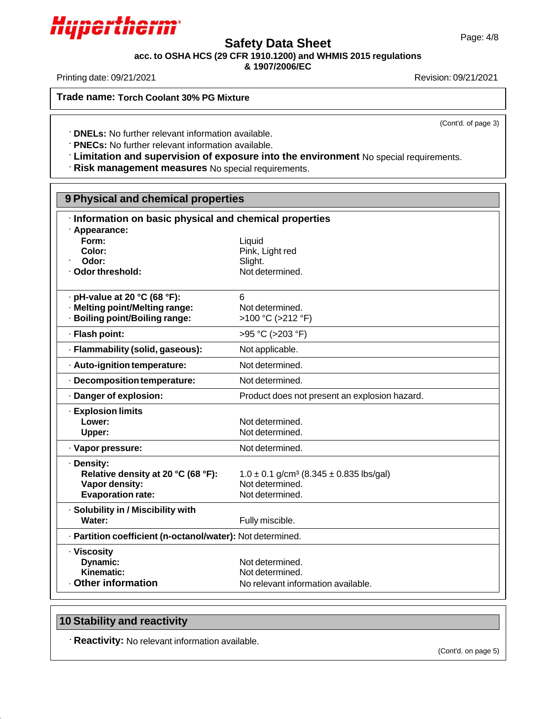

# Page: 4/8 **Safety Data Sheet**

**acc. to OSHA HCS (29 CFR 1910.1200) and WHMIS 2015 regulations**

**& 1907/2006/EC**

Printing date: 09/21/2021 Revision: 09/21/2021

**Trade name: Torch Coolant 30% PG Mixture**

(Cont'd. of page 3)

**DNELs:** No further relevant information available.

**PNECs:** No further relevant information available.

**Limitation and supervision of exposure into the environment** No special requirements.

**Risk management measures** No special requirements.

| 9 Physical and chemical properties                         |                                                             |  |  |
|------------------------------------------------------------|-------------------------------------------------------------|--|--|
| · Information on basic physical and chemical properties    |                                                             |  |  |
| · Appearance:<br>Form:                                     | Liquid                                                      |  |  |
| Color:                                                     | Pink, Light red                                             |  |  |
| Odor:                                                      | Slight.                                                     |  |  |
| · Odor threshold:                                          | Not determined.                                             |  |  |
|                                                            |                                                             |  |  |
| $\cdot$ pH-value at 20 °C (68 °F):                         | 6                                                           |  |  |
| · Melting point/Melting range:                             | Not determined.                                             |  |  |
| · Boiling point/Boiling range:                             | >100 °C (>212 °F)                                           |  |  |
| · Flash point:                                             | >95 °C (>203 °F)                                            |  |  |
| · Flammability (solid, gaseous):                           | Not applicable.                                             |  |  |
| · Auto-ignition temperature:                               | Not determined.                                             |  |  |
| · Decomposition temperature:                               | Not determined.                                             |  |  |
| · Danger of explosion:                                     | Product does not present an explosion hazard.               |  |  |
| <b>Explosion limits</b>                                    |                                                             |  |  |
| Lower:                                                     | Not determined.                                             |  |  |
| Upper:                                                     | Not determined.                                             |  |  |
| · Vapor pressure:                                          | Not determined.                                             |  |  |
| · Density:                                                 |                                                             |  |  |
| Relative density at 20 °C (68 °F):                         | $1.0 \pm 0.1$ g/cm <sup>3</sup> (8.345 $\pm$ 0.835 lbs/gal) |  |  |
| Vapor density:                                             | Not determined.                                             |  |  |
| <b>Evaporation rate:</b>                                   | Not determined.                                             |  |  |
| · Solubility in / Miscibility with                         |                                                             |  |  |
| Water:                                                     | Fully miscible.                                             |  |  |
| · Partition coefficient (n-octanol/water): Not determined. |                                                             |  |  |
| · Viscosity                                                |                                                             |  |  |
| Dynamic:                                                   | Not determined.                                             |  |  |
| Kinematic:                                                 | Not determined.                                             |  |  |
| Other information                                          | No relevant information available.                          |  |  |

## **10 Stability and reactivity**

**Reactivity:** No relevant information available.

(Cont'd. on page 5)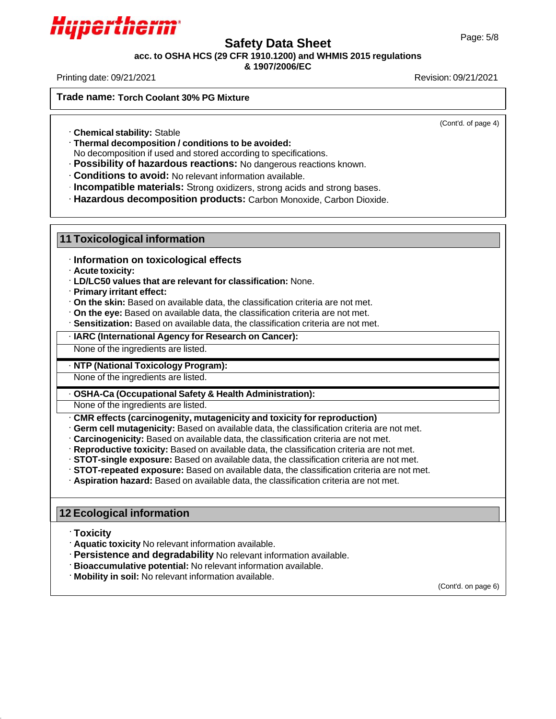

# Page: 5/8 **Safety Data Sheet**

**acc. to OSHA HCS (29 CFR 1910.1200) and WHMIS 2015 regulations**

### **& 1907/2006/EC**

Printing date: 09/21/2021 Revision: 09/21/2021

**Trade name: Torch Coolant 30% PG Mixture**

(Cont'd. of page 4)

**Chemical stability:** Stable

**Thermal decomposition / conditions to be avoided:**

No decomposition if used and stored according to specifications.

**Possibility of hazardous reactions:** No dangerous reactions known.

**Conditions to avoid:** No relevant information available.

**Incompatible materials:** Strong oxidizers, strong acids and strong bases.

**Hazardous decomposition products:** Carbon Monoxide, Carbon Dioxide.

### **11 Toxicological information**

· **Information on toxicological effects**

- · **Acute toxicity:**
- · **LD/LC50 values that are relevant for classification:** None.
- · **Primary irritant effect:**
- · **On the skin:** Based on available data, the classification criteria are not met.
- · **On the eye:** Based on available data, the classification criteria are not met.
- · **Sensitization:** Based on available data, the classification criteria are not met.
- · **IARC (International Agency for Research on Cancer):**

None of the ingredients are listed.

### · **NTP (National Toxicology Program):**

None of the ingredients are listed.

## · **OSHA-Ca (Occupational Safety & Health Administration):**

None of the ingredients are listed.

- · **CMR effects (carcinogenity, mutagenicity and toxicity for reproduction)**
- · **Germ cell mutagenicity:** Based on available data, the classification criteria are not met.
- · **Carcinogenicity:** Based on available data, the classification criteria are not met.
- · **Reproductive toxicity:** Based on available data, the classification criteria are not met.
- · **STOT-single exposure:** Based on available data, the classification criteria are not met.
- · **STOT-repeated exposure:** Based on available data, the classification criteria are not met.
- · **Aspiration hazard:** Based on available data, the classification criteria are not met.

## **12 Ecological information**

- **Toxicity**
- **Aquatic toxicity** No relevant information available.
- **Persistence and degradability** No relevant information available.
- **Bioaccumulative potential:** No relevant information available.
- **Mobility in soil:** No relevant information available.

(Cont'd. on page 6)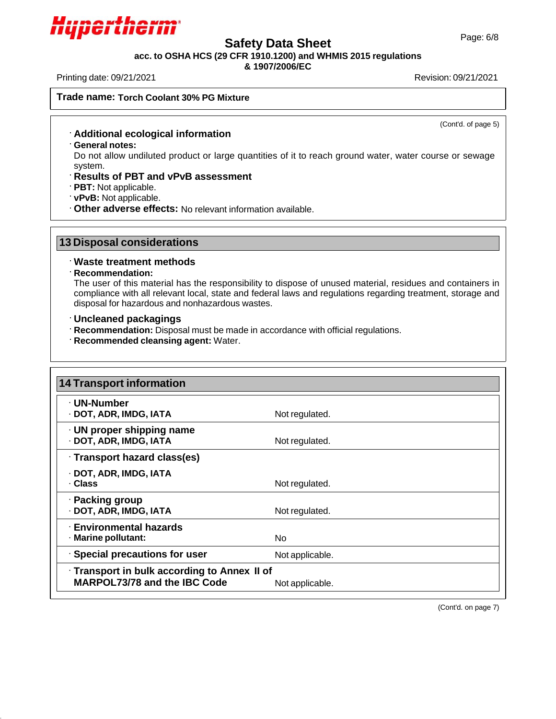

# Page: 6/8 **Safety Data Sheet**

**acc. to OSHA HCS (29 CFR 1910.1200) and WHMIS 2015 regulations**

**& 1907/2006/EC**

Printing date: 09/21/2021 Revision: 09/21/2021

**Trade name: Torch Coolant 30% PG Mixture**

(Cont'd. of page 5)

- **Additional ecological information**
- **General notes:**

Do not allow undiluted product or large quantities of it to reach ground water, water course or sewage system.

- **Results of PBT and vPvB assessment**
- **PBT:** Not applicable.
- **vPvB:** Not applicable.
- **Other adverse effects:** No relevant information available.

## **13 Disposal considerations**

### **Waste treatment methods**

### **Recommendation:**

The user of this material has the responsibility to dispose of unused material, residues and containers in compliance with all relevant local, state and federal laws and regulations regarding treatment, storage and disposal for hazardous and nonhazardous wastes.

- **Uncleaned packagings**
- **Recommendation:** Disposal must be made in accordance with official regulations.
- **Recommended cleansing agent:** Water.

| 14 Transport information                                                     |                 |
|------------------------------------------------------------------------------|-----------------|
| · UN-Number<br>· DOT, ADR, IMDG, IATA                                        | Not regulated.  |
| $\cdot$ UN proper shipping name<br>· DOT, ADR, IMDG, IATA                    | Not regulated.  |
| · Transport hazard class(es)                                                 |                 |
| · DOT, ADR, IMDG, IATA<br>· Class                                            | Not regulated.  |
| · Packing group<br>· DOT, ADR, IMDG, IATA                                    | Not regulated.  |
| <b>Environmental hazards</b><br>· Marine pollutant:                          | No.             |
| · Special precautions for user                                               | Not applicable. |
| · Transport in bulk according to Annex II of<br>MARPOL73/78 and the IBC Code | Not applicable. |

(Cont'd. on page 7)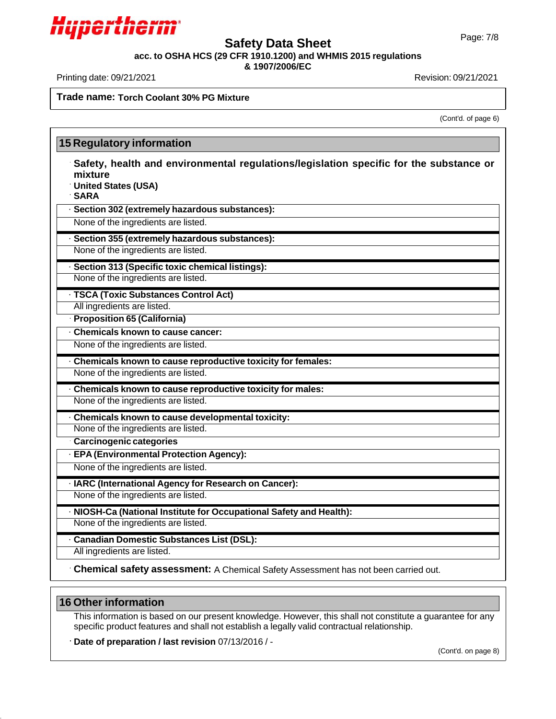

# Page: 7/8 **Safety Data Sheet**

**acc. to OSHA HCS (29 CFR 1910.1200) and WHMIS 2015 regulations**

**& 1907/2006/EC**

Printing date: 09/21/2021 Revision: 09/21/2021

**Trade name: Torch Coolant 30% PG Mixture**

(Cont'd. of page 6)

|                        | <b>15 Regulatory information</b>                                                                              |
|------------------------|---------------------------------------------------------------------------------------------------------------|
| mixture<br><b>SARA</b> | Safety, health and environmental regulations/legislation specific for the substance or<br>United States (USA) |
|                        | · Section 302 (extremely hazardous substances):                                                               |
|                        | None of the ingredients are listed.                                                                           |
|                        | Section 355 (extremely hazardous substances):                                                                 |
|                        | None of the ingredients are listed.                                                                           |
|                        | · Section 313 (Specific toxic chemical listings):                                                             |
|                        | None of the ingredients are listed.                                                                           |
|                        | · TSCA (Toxic Substances Control Act)                                                                         |
|                        | All ingredients are listed.                                                                                   |
|                        | Proposition 65 (California)                                                                                   |
|                        | Chemicals known to cause cancer:                                                                              |
|                        | None of the ingredients are listed.                                                                           |
|                        | Chemicals known to cause reproductive toxicity for females:                                                   |
|                        | None of the ingredients are listed.                                                                           |
|                        | · Chemicals known to cause reproductive toxicity for males:                                                   |
|                        | None of the ingredients are listed.                                                                           |
|                        | · Chemicals known to cause developmental toxicity:                                                            |
|                        | None of the ingredients are listed.                                                                           |
|                        | Carcinogenic categories                                                                                       |
|                        | · EPA (Environmental Protection Agency):                                                                      |
|                        | None of the ingredients are listed.                                                                           |
|                        | · IARC (International Agency for Research on Cancer):                                                         |
|                        | None of the ingredients are listed.                                                                           |
|                        | · NIOSH-Ca (National Institute for Occupational Safety and Health):                                           |
|                        | None of the ingredients are listed.                                                                           |
|                        | · Canadian Domestic Substances List (DSL):                                                                    |
|                        | All ingredients are listed.                                                                                   |
|                        | Chemical safety assessment: A Chemical Safety Assessment has not been carried out.                            |
|                        |                                                                                                               |

## **16 Other information**

This information is based on our present knowledge. However, this shall not constitute a guarantee for any specific product features and shall not establish a legally valid contractual relationship.

**Date of preparation / last revision** 07/13/2016 / -

(Cont'd. on page 8)